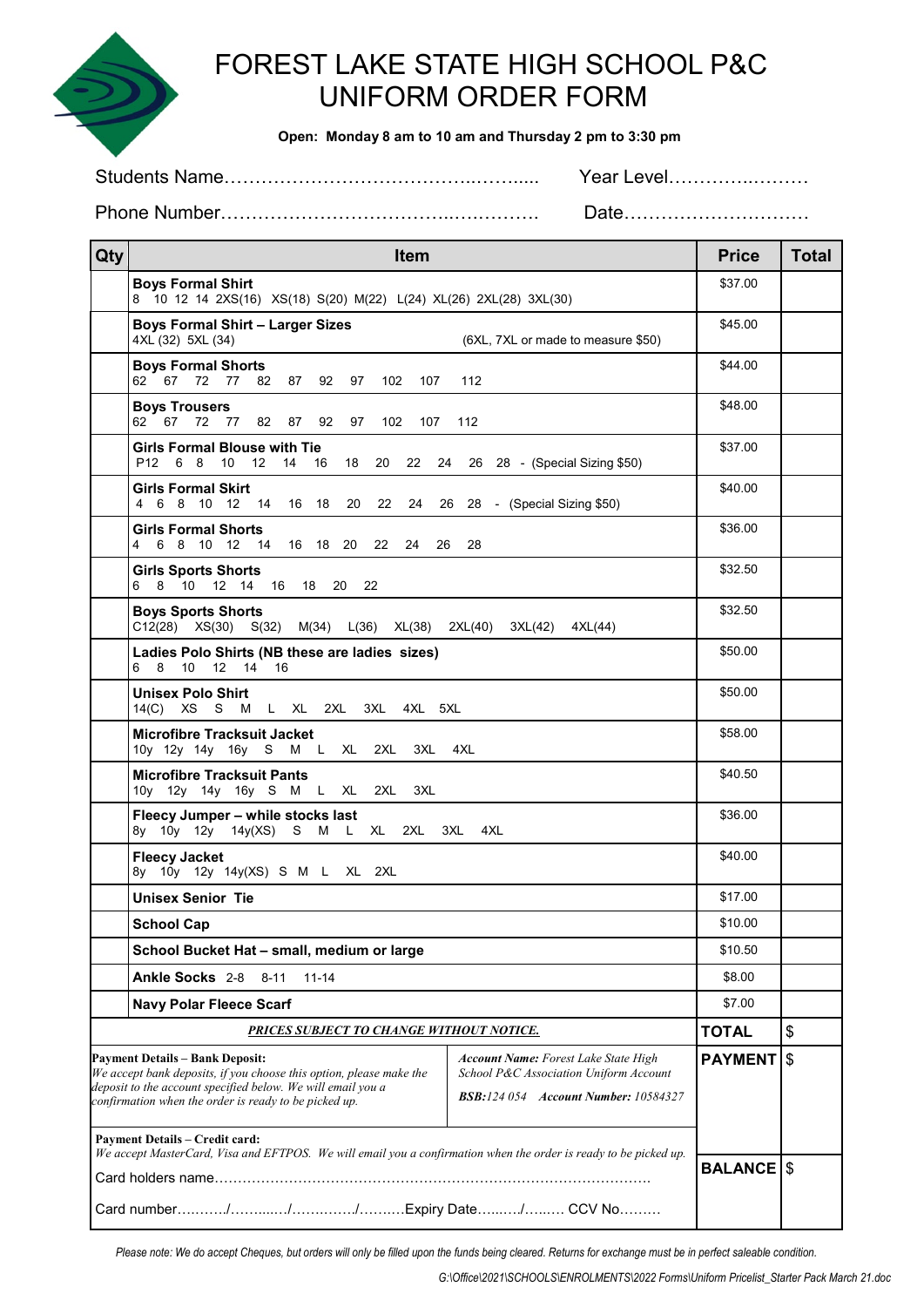

## FOREST LAKE STATE HIGH SCHOOL P&C UNIFORM ORDER FORM

 **Open: Monday 8 am to 10 am and Thursday 2 pm to 3:30 pm**

Students Name…………………………………..……..... Year Level…………..………

Phone Number………………………………..….………. Date…………………………

| Qty                                                                                                                                                                                                                                                                                                                                                                           | Item                                                                                                 | <b>Price</b>   | <b>Total</b>     |
|-------------------------------------------------------------------------------------------------------------------------------------------------------------------------------------------------------------------------------------------------------------------------------------------------------------------------------------------------------------------------------|------------------------------------------------------------------------------------------------------|----------------|------------------|
|                                                                                                                                                                                                                                                                                                                                                                               | <b>Boys Formal Shirt</b><br>8 10 12 14 2XS(16) XS(18) S(20) M(22) L(24) XL(26) 2XL(28) 3XL(30)       | \$37.00        |                  |
|                                                                                                                                                                                                                                                                                                                                                                               | <b>Boys Formal Shirt - Larger Sizes</b><br>4XL (32) 5XL (34)<br>(6XL, 7XL or made to measure \$50)   | \$45.00        |                  |
|                                                                                                                                                                                                                                                                                                                                                                               | <b>Boys Formal Shorts</b><br>62 67 72 77<br>82 87 92 97 102 107<br>112                               | \$44.00        |                  |
|                                                                                                                                                                                                                                                                                                                                                                               | <b>Boys Trousers</b><br>62 67<br>72<br>77<br>82 87 92 97 102<br>107<br>112                           | \$48.00        |                  |
|                                                                                                                                                                                                                                                                                                                                                                               | <b>Girls Formal Blouse with Tie</b><br>P12 6 8 10 12 14 16 18 20 22 24 26 28 - (Special Sizing \$50) | \$37.00        |                  |
|                                                                                                                                                                                                                                                                                                                                                                               | <b>Girls Formal Skirt</b><br>4 6 8 10 12 14 16 18<br>20<br>22<br>24 26 28 - (Special Sizing \$50)    | \$40.00        |                  |
|                                                                                                                                                                                                                                                                                                                                                                               | <b>Girls Formal Shorts</b><br>4   6   8   10   12   14   16   18   20   22<br>24<br>28<br>26         | \$36.00        |                  |
|                                                                                                                                                                                                                                                                                                                                                                               | <b>Girls Sports Shorts</b><br>6 8 10 12 14 16 18 20<br>-22                                           | \$32.50        |                  |
|                                                                                                                                                                                                                                                                                                                                                                               | <b>Boys Sports Shorts</b><br>C12(28) XS(30) S(32) M(34) L(36) XL(38) 2XL(40) 3XL(42) 4XL(44)         | \$32.50        |                  |
|                                                                                                                                                                                                                                                                                                                                                                               | Ladies Polo Shirts (NB these are ladies sizes)<br>6 8 10 12 14 16                                    | \$50.00        |                  |
|                                                                                                                                                                                                                                                                                                                                                                               | <b>Unisex Polo Shirt</b><br>S M L XL 2XL 3XL 4XL 5XL<br>14(C) XS                                     | \$50.00        |                  |
|                                                                                                                                                                                                                                                                                                                                                                               | <b>Microfibre Tracksuit Jacket</b><br>10y 12y 14y 16y S M L XL<br>2XL<br>3XL 4XL                     | \$58.00        |                  |
|                                                                                                                                                                                                                                                                                                                                                                               | <b>Microfibre Tracksuit Pants</b><br>10y 12y 14y 16y S M L XL 2XL<br>3XL                             | \$40.50        |                  |
|                                                                                                                                                                                                                                                                                                                                                                               | Fleecy Jumper - while stocks last<br>8y 10y 12y 14y(XS) S M L XL 2XL 3XL 4XL                         | \$36.00        |                  |
|                                                                                                                                                                                                                                                                                                                                                                               | <b>Fleecy Jacket</b><br>8y 10y 12y 14y(XS) S M L XL 2XL                                              | \$40.00        |                  |
|                                                                                                                                                                                                                                                                                                                                                                               | <b>Unisex Senior Tie</b>                                                                             | \$17.00        |                  |
|                                                                                                                                                                                                                                                                                                                                                                               | <b>School Cap</b>                                                                                    |                |                  |
| School Bucket Hat - small, medium or large                                                                                                                                                                                                                                                                                                                                    |                                                                                                      | \$10.50        |                  |
|                                                                                                                                                                                                                                                                                                                                                                               | <b>Ankle Socks</b> 2-8<br>$8 - 11$<br>$11 - 14$<br><b>Navy Polar Fleece Scarf</b>                    |                |                  |
|                                                                                                                                                                                                                                                                                                                                                                               |                                                                                                      |                |                  |
| PRICES SUBJECT TO CHANGE WITHOUT NOTICE.                                                                                                                                                                                                                                                                                                                                      |                                                                                                      |                | \$               |
| <b>Payment Details - Bank Deposit:</b><br><b>Account Name:</b> Forest Lake State High<br>We accept bank deposits, if you choose this option, please make the<br>School P&C Association Uniform Account<br>deposit to the account specified below. We will email you a<br><b>BSB:124 054 Account Number: 10584327</b><br>confirmation when the order is ready to be picked up. |                                                                                                      | <b>PAYMENT</b> | l\$              |
| <b>Payment Details - Credit card:</b><br>We accept MasterCard, Visa and EFTPOS. We will email you a confirmation when the order is ready to be picked up.                                                                                                                                                                                                                     |                                                                                                      |                |                  |
|                                                                                                                                                                                                                                                                                                                                                                               |                                                                                                      |                | <b>BALANCE S</b> |
|                                                                                                                                                                                                                                                                                                                                                                               |                                                                                                      |                |                  |

*Please note: We do accept Cheques, but orders will only be filled upon the funds being cleared. Returns for exchange must be in perfect saleable condition.*